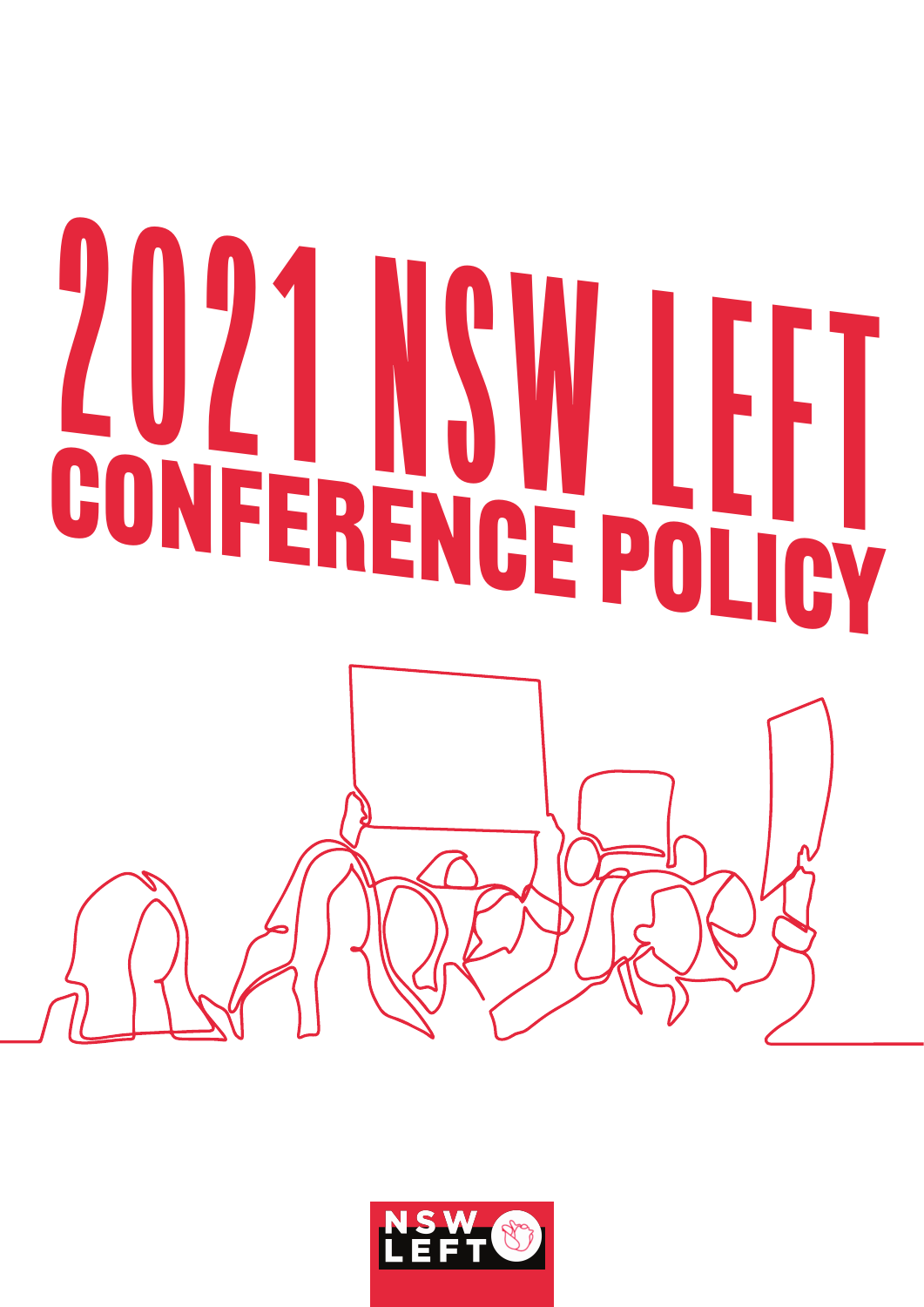# 2021 NSW LEFT CONFERENCE POLICY

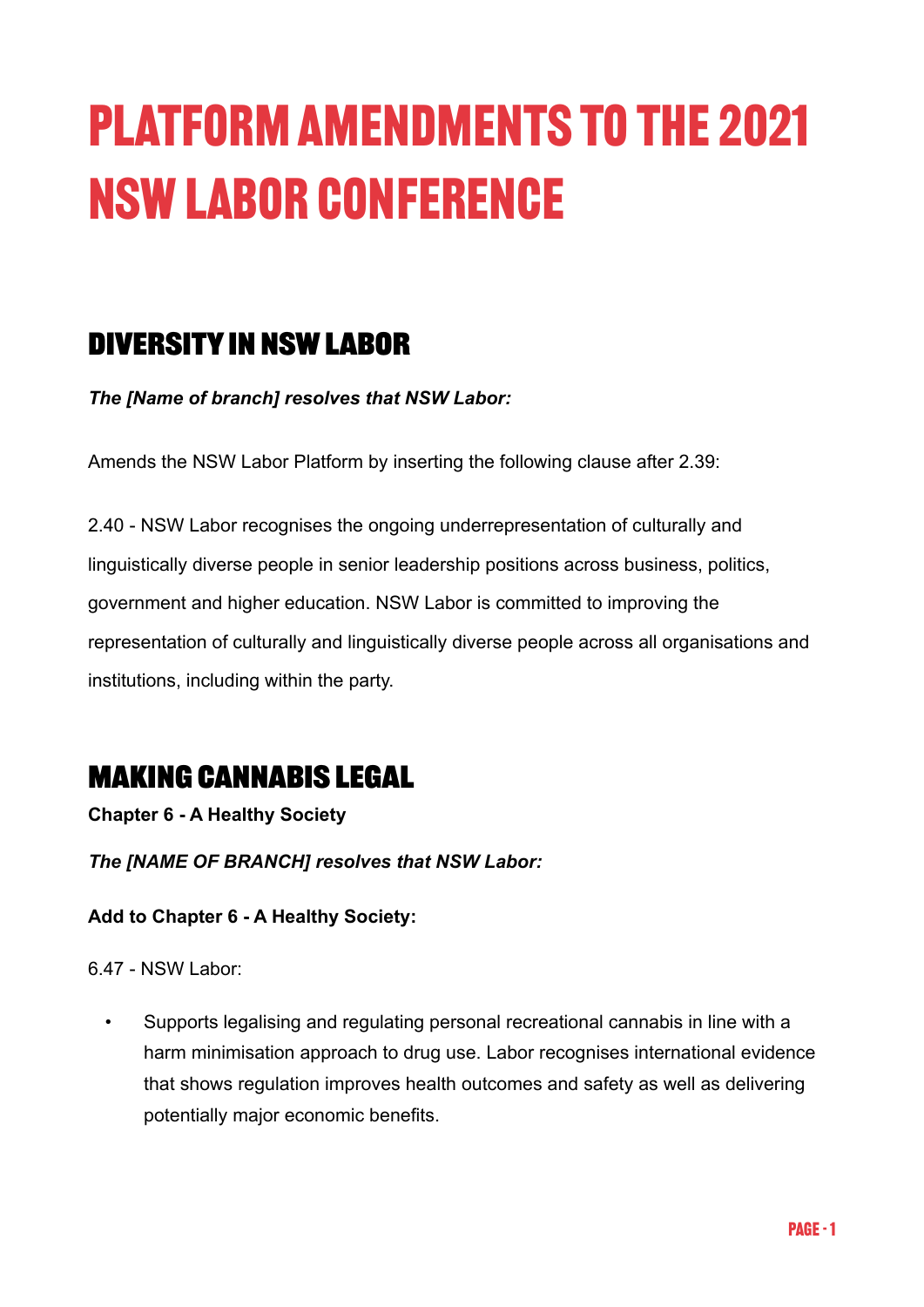# Platform Amendments to the 2021 NSW Labor Conference

# **Diversity in NSW Labor**

*The [Name of branch] resolves that NSW Labor:* 

Amends the NSW Labor Platform by inserting the following clause after 2.39:

2.40 - NSW Labor recognises the ongoing underrepresentation of culturally and linguistically diverse people in senior leadership positions across business, politics, government and higher education. NSW Labor is committed to improving the representation of culturally and linguistically diverse people across all organisations and institutions, including within the party.

# **Making Cannabis Legal**

**Chapter 6 - A Healthy Society**

*The [NAME OF BRANCH] resolves that NSW Labor:*

### **Add to Chapter 6 - A Healthy Society:**

6.47 - NSW Labor:

• Supports legalising and regulating personal recreational cannabis in line with a harm minimisation approach to drug use. Labor recognises international evidence that shows regulation improves health outcomes and safety as well as delivering potentially major economic benefits.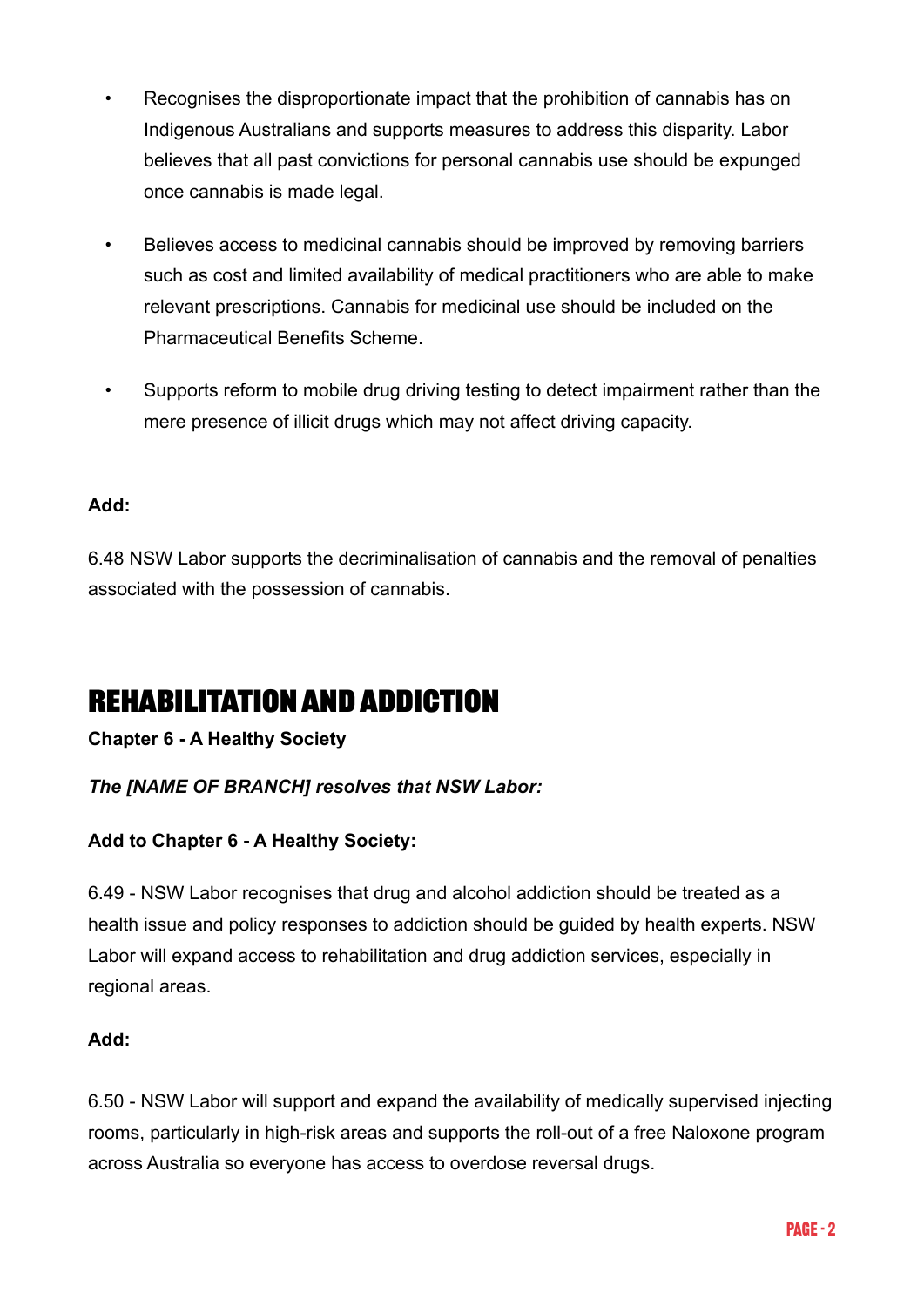- Recognises the disproportionate impact that the prohibition of cannabis has on Indigenous Australians and supports measures to address this disparity. Labor believes that all past convictions for personal cannabis use should be expunged once cannabis is made legal.
- Believes access to medicinal cannabis should be improved by removing barriers such as cost and limited availability of medical practitioners who are able to make relevant prescriptions. Cannabis for medicinal use should be included on the Pharmaceutical Benefits Scheme.
- Supports reform to mobile drug driving testing to detect impairment rather than the mere presence of illicit drugs which may not affect driving capacity.

### **Add:**

6.48 NSW Labor supports the decriminalisation of cannabis and the removal of penalties associated with the possession of cannabis.

# **Rehabilitation and Addiction**

### **Chapter 6 - A Healthy Society**

### *The [NAME OF BRANCH] resolves that NSW Labor:*

### **Add to Chapter 6 - A Healthy Society:**

6.49 - NSW Labor recognises that drug and alcohol addiction should be treated as a health issue and policy responses to addiction should be guided by health experts. NSW Labor will expand access to rehabilitation and drug addiction services, especially in regional areas.

### **Add:**

6.50 - NSW Labor will support and expand the availability of medically supervised injecting rooms, particularly in high-risk areas and supports the roll-out of a free Naloxone program across Australia so everyone has access to overdose reversal drugs.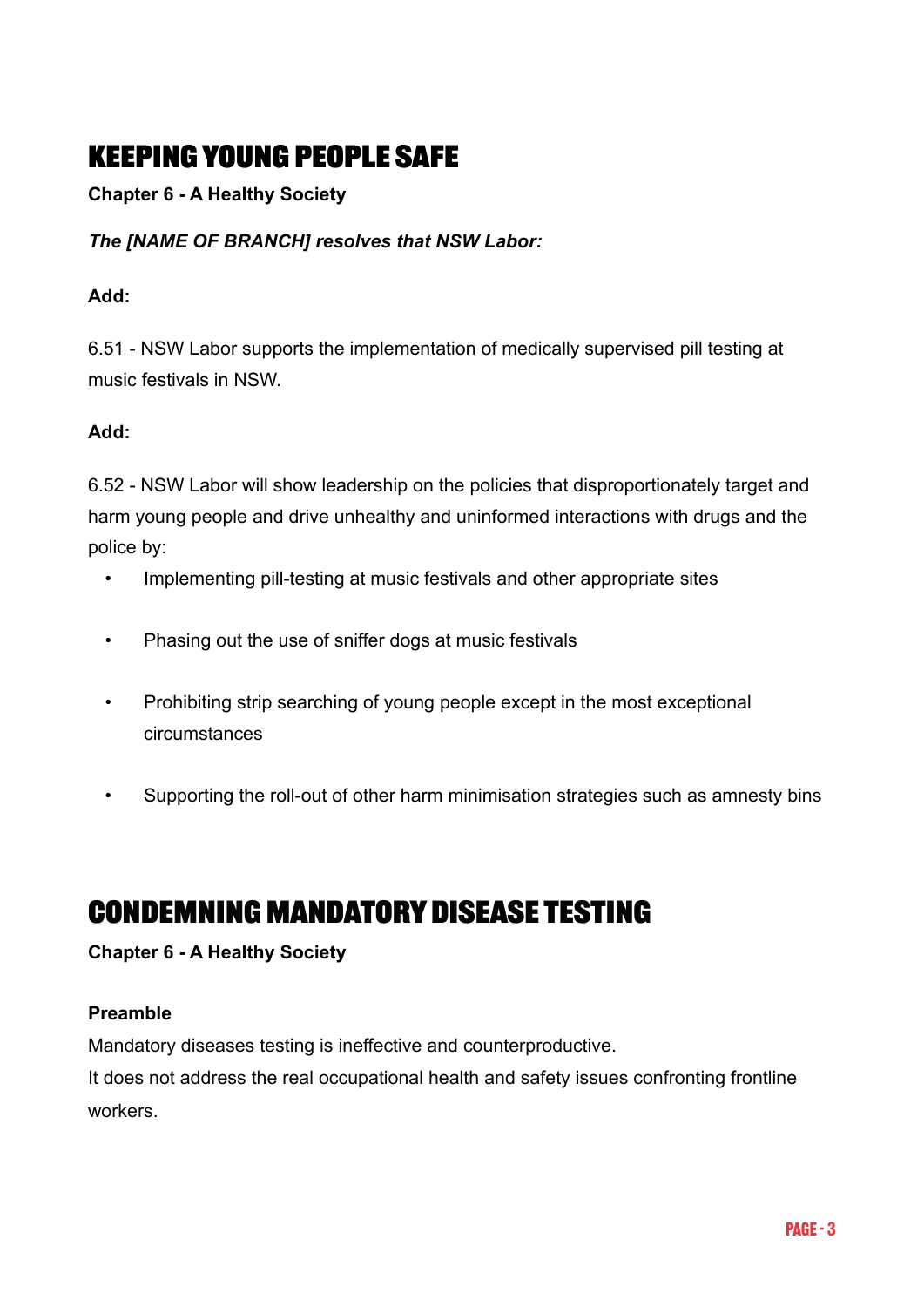# **Keeping young people safe**

**Chapter 6 - A Healthy Society**

### *The [NAME OF BRANCH] resolves that NSW Labor:*

### **Add:**

6.51 - NSW Labor supports the implementation of medically supervised pill testing at music festivals in NSW.

### **Add:**

6.52 - NSW Labor will show leadership on the policies that disproportionately target and harm young people and drive unhealthy and uninformed interactions with drugs and the police by:

- Implementing pill-testing at music festivals and other appropriate sites
- Phasing out the use of sniffer dogs at music festivals
- Prohibiting strip searching of young people except in the most exceptional circumstances
- Supporting the roll-out of other harm minimisation strategies such as amnesty bins

## **Condemning Mandatory Disease Testing**

### **Chapter 6 - A Healthy Society**

### **Preamble**

Mandatory diseases testing is ineffective and counterproductive.

It does not address the real occupational health and safety issues confronting frontline workers.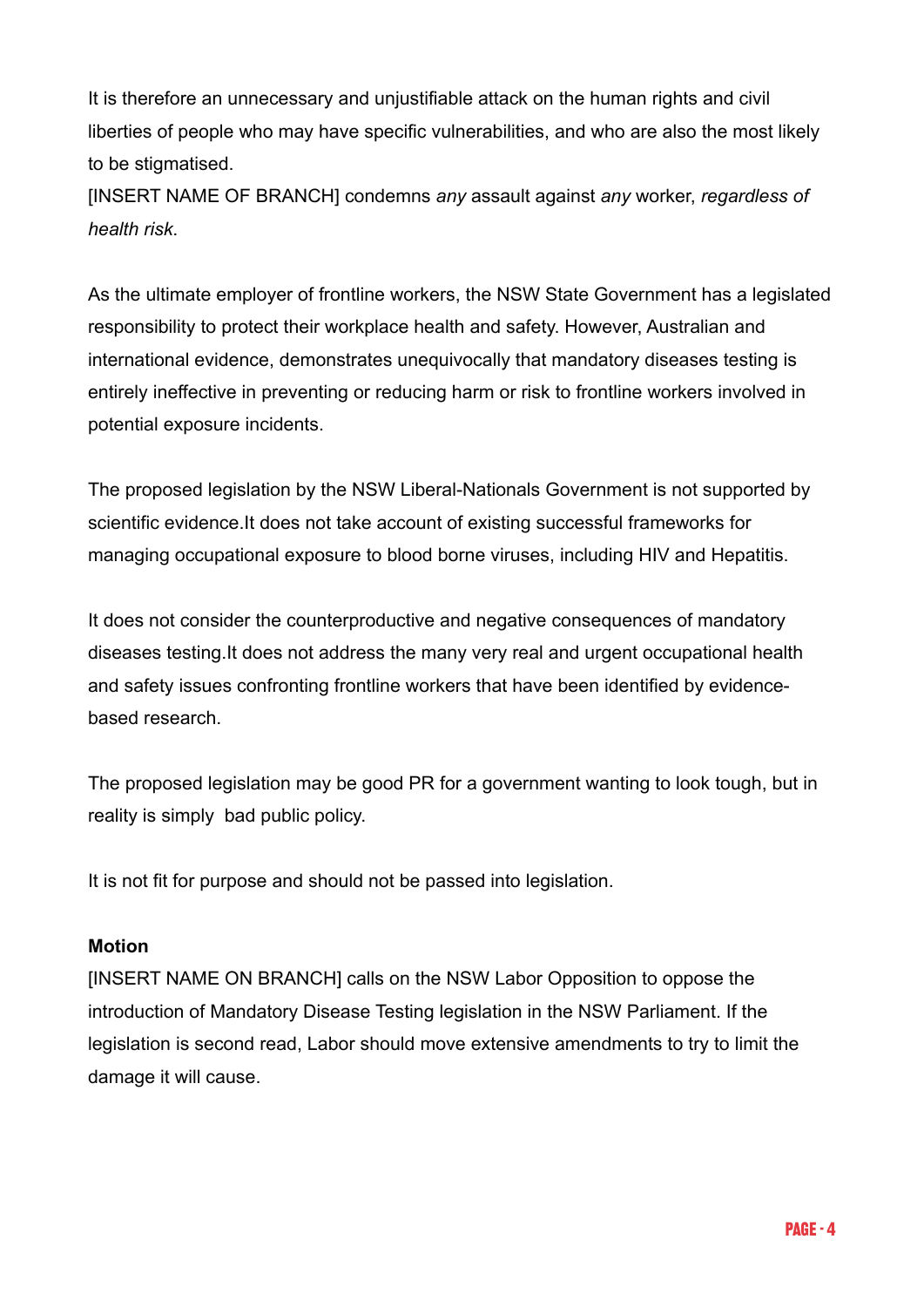It is therefore an unnecessary and unjustifiable attack on the human rights and civil liberties of people who may have specific vulnerabilities, and who are also the most likely to be stigmatised.

[INSERT NAME OF BRANCH] condemns *any* assault against *any* worker, *regardless of health risk*.

As the ultimate employer of frontline workers, the NSW State Government has a legislated responsibility to protect their workplace health and safety. However, Australian and international evidence, demonstrates unequivocally that mandatory diseases testing is entirely ineffective in preventing or reducing harm or risk to frontline workers involved in potential exposure incidents.

The proposed legislation by the NSW Liberal-Nationals Government is not supported by scientific evidence.It does not take account of existing successful frameworks for managing occupational exposure to blood borne viruses, including HIV and Hepatitis.

It does not consider the counterproductive and negative consequences of mandatory diseases testing.It does not address the many very real and urgent occupational health and safety issues confronting frontline workers that have been identified by evidencebased research.

The proposed legislation may be good PR for a government wanting to look tough, but in reality is simply bad public policy.

It is not fit for purpose and should not be passed into legislation.

### **Motion**

[INSERT NAME ON BRANCH] calls on the NSW Labor Opposition to oppose the introduction of Mandatory Disease Testing legislation in the NSW Parliament. If the legislation is second read, Labor should move extensive amendments to try to limit the damage it will cause.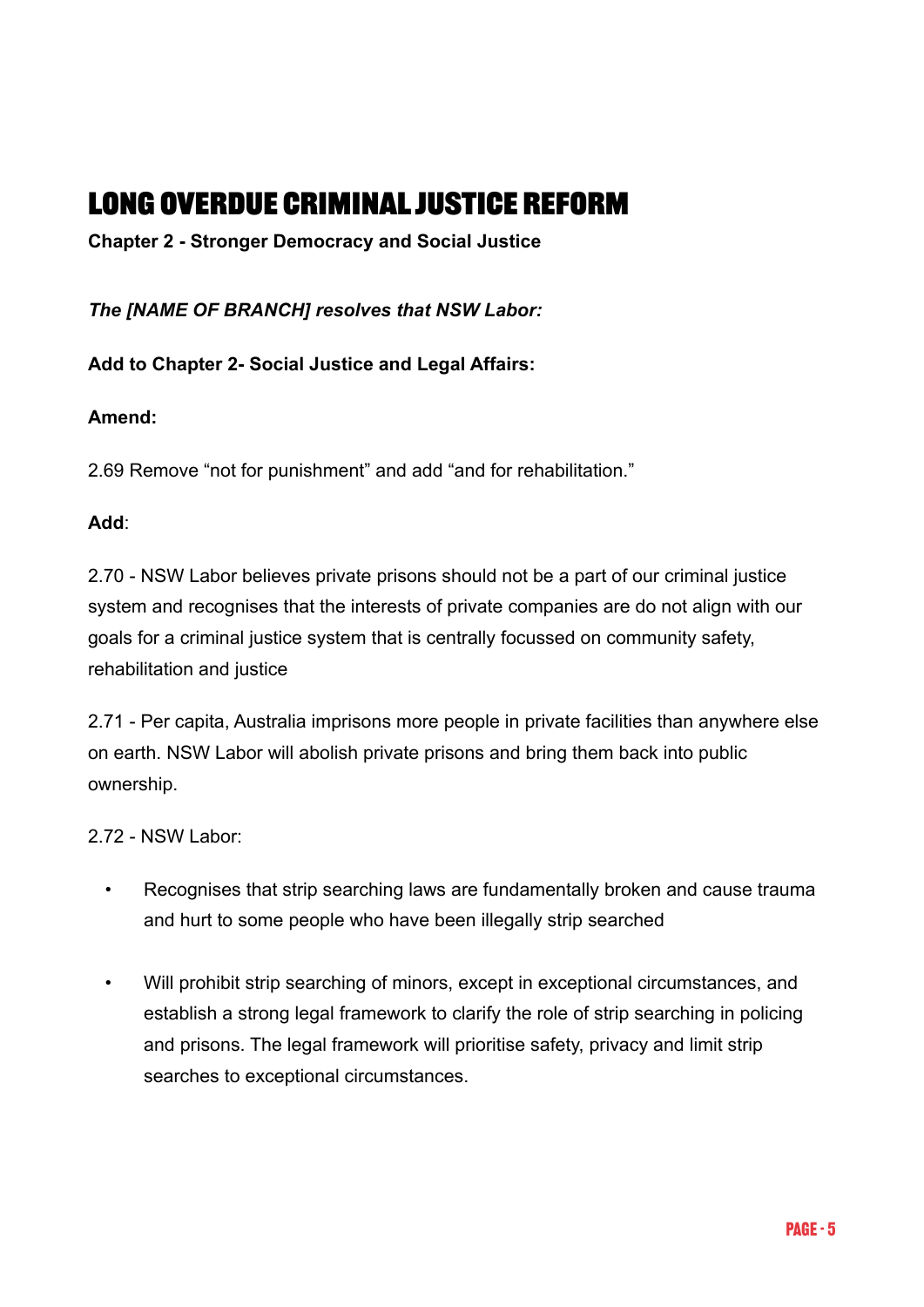# **Long Overdue Criminal Justice Reform**

**Chapter 2 - Stronger Democracy and Social Justice**

*The [NAME OF BRANCH] resolves that NSW Labor:*

**Add to Chapter 2- Social Justice and Legal Affairs:** 

### **Amend:**

2.69 Remove "not for punishment" and add "and for rehabilitation."

### **Add**:

2.70 - NSW Labor believes private prisons should not be a part of our criminal justice system and recognises that the interests of private companies are do not align with our goals for a criminal justice system that is centrally focussed on community safety, rehabilitation and justice

2.71 - Per capita, Australia imprisons more people in private facilities than anywhere else on earth. NSW Labor will abolish private prisons and bring them back into public ownership.

2.72 - NSW Labor:

- Recognises that strip searching laws are fundamentally broken and cause trauma and hurt to some people who have been illegally strip searched
- Will prohibit strip searching of minors, except in exceptional circumstances, and establish a strong legal framework to clarify the role of strip searching in policing and prisons. The legal framework will prioritise safety, privacy and limit strip searches to exceptional circumstances.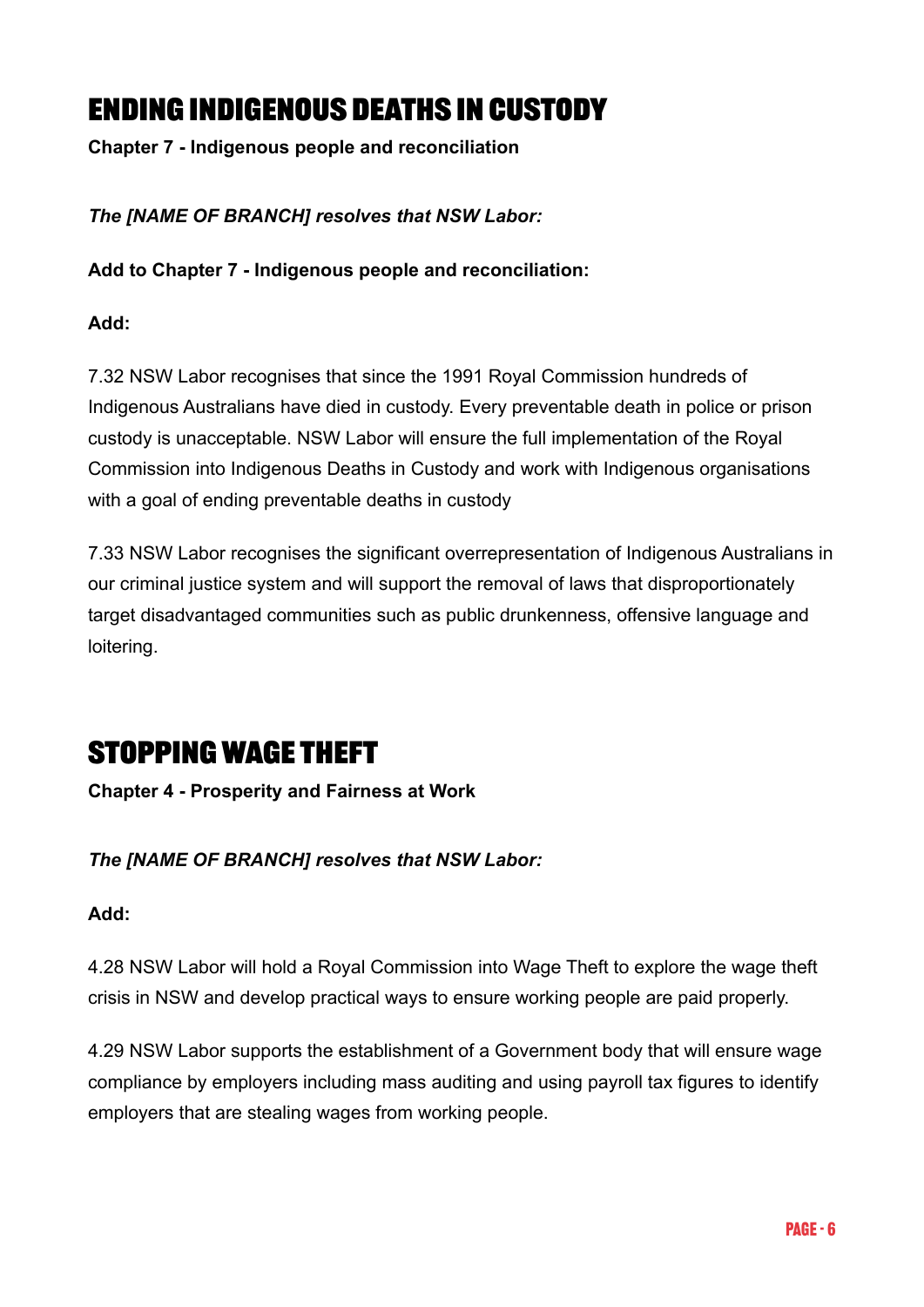# **Ending Indigenous deaths in custody**

**Chapter 7 - Indigenous people and reconciliation**

*The [NAME OF BRANCH] resolves that NSW Labor:*

**Add to Chapter 7 - Indigenous people and reconciliation:** 

### **Add:**

7.32 NSW Labor recognises that since the 1991 Royal Commission hundreds of Indigenous Australians have died in custody. Every preventable death in police or prison custody is unacceptable. NSW Labor will ensure the full implementation of the Royal Commission into Indigenous Deaths in Custody and work with Indigenous organisations with a goal of ending preventable deaths in custody

7.33 NSW Labor recognises the significant overrepresentation of Indigenous Australians in our criminal justice system and will support the removal of laws that disproportionately target disadvantaged communities such as public drunkenness, offensive language and loitering.

# **Stopping Wage Theft**

### **Chapter 4 - Prosperity and Fairness at Work**

### *The [NAME OF BRANCH] resolves that NSW Labor:*

### **Add:**

4.28 NSW Labor will hold a Royal Commission into Wage Theft to explore the wage theft crisis in NSW and develop practical ways to ensure working people are paid properly.

4.29 NSW Labor supports the establishment of a Government body that will ensure wage compliance by employers including mass auditing and using payroll tax figures to identify employers that are stealing wages from working people.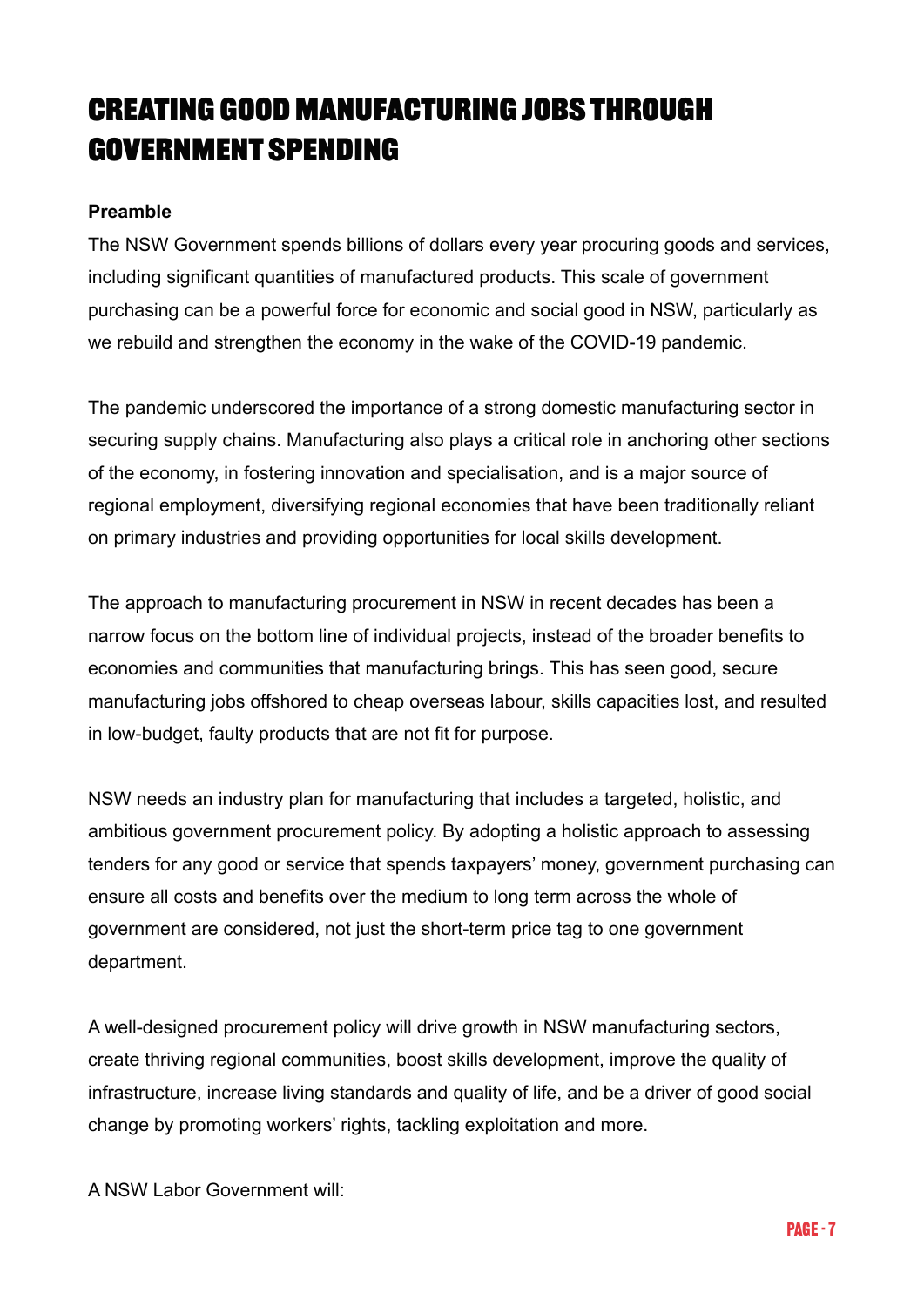# **Creating good manufacturing jobs through government spending**

### **Preamble**

The NSW Government spends billions of dollars every year procuring goods and services, including significant quantities of manufactured products. This scale of government purchasing can be a powerful force for economic and social good in NSW, particularly as we rebuild and strengthen the economy in the wake of the COVID-19 pandemic.

The pandemic underscored the importance of a strong domestic manufacturing sector in securing supply chains. Manufacturing also plays a critical role in anchoring other sections of the economy, in fostering innovation and specialisation, and is a major source of regional employment, diversifying regional economies that have been traditionally reliant on primary industries and providing opportunities for local skills development.

The approach to manufacturing procurement in NSW in recent decades has been a narrow focus on the bottom line of individual projects, instead of the broader benefits to economies and communities that manufacturing brings. This has seen good, secure manufacturing jobs offshored to cheap overseas labour, skills capacities lost, and resulted in low-budget, faulty products that are not fit for purpose.

NSW needs an industry plan for manufacturing that includes a targeted, holistic, and ambitious government procurement policy. By adopting a holistic approach to assessing tenders for any good or service that spends taxpayers' money, government purchasing can ensure all costs and benefits over the medium to long term across the whole of government are considered, not just the short-term price tag to one government department.

A well-designed procurement policy will drive growth in NSW manufacturing sectors, create thriving regional communities, boost skills development, improve the quality of infrastructure, increase living standards and quality of life, and be a driver of good social change by promoting workers' rights, tackling exploitation and more.

A NSW Labor Government will: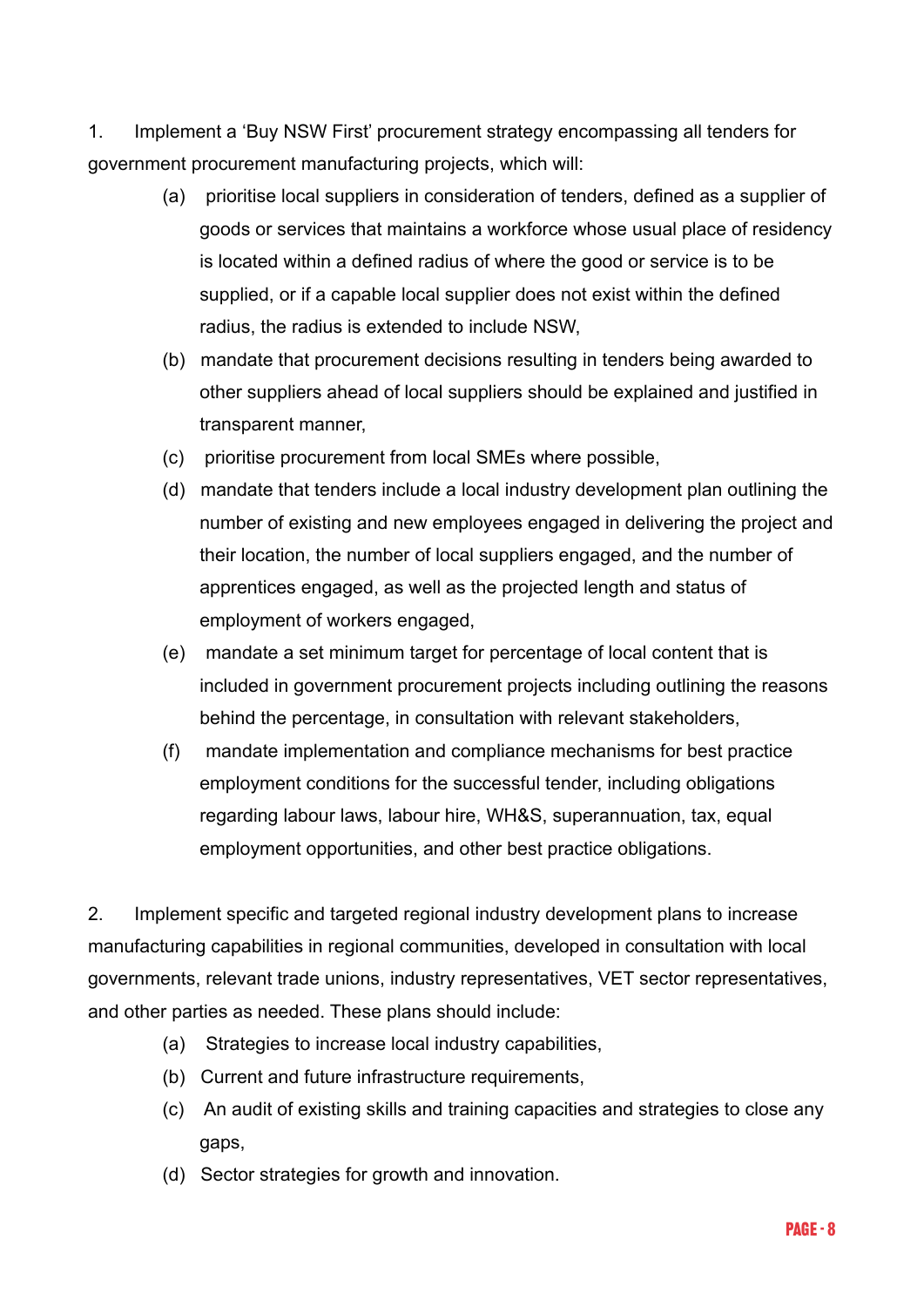1. Implement a 'Buy NSW First' procurement strategy encompassing all tenders for government procurement manufacturing projects, which will:

- (a) prioritise local suppliers in consideration of tenders, defined as a supplier of goods or services that maintains a workforce whose usual place of residency is located within a defined radius of where the good or service is to be supplied, or if a capable local supplier does not exist within the defined radius, the radius is extended to include NSW,
- (b) mandate that procurement decisions resulting in tenders being awarded to other suppliers ahead of local suppliers should be explained and justified in transparent manner,
- (c) prioritise procurement from local SMEs where possible,
- (d) mandate that tenders include a local industry development plan outlining the number of existing and new employees engaged in delivering the project and their location, the number of local suppliers engaged, and the number of apprentices engaged, as well as the projected length and status of employment of workers engaged,
- (e) mandate a set minimum target for percentage of local content that is included in government procurement projects including outlining the reasons behind the percentage, in consultation with relevant stakeholders,
- (f) mandate implementation and compliance mechanisms for best practice employment conditions for the successful tender, including obligations regarding labour laws, labour hire, WH&S, superannuation, tax, equal employment opportunities, and other best practice obligations.

2. Implement specific and targeted regional industry development plans to increase manufacturing capabilities in regional communities, developed in consultation with local governments, relevant trade unions, industry representatives, VET sector representatives, and other parties as needed. These plans should include:

- (a) Strategies to increase local industry capabilities,
- (b) Current and future infrastructure requirements,
- (c) An audit of existing skills and training capacities and strategies to close any gaps,
- (d) Sector strategies for growth and innovation.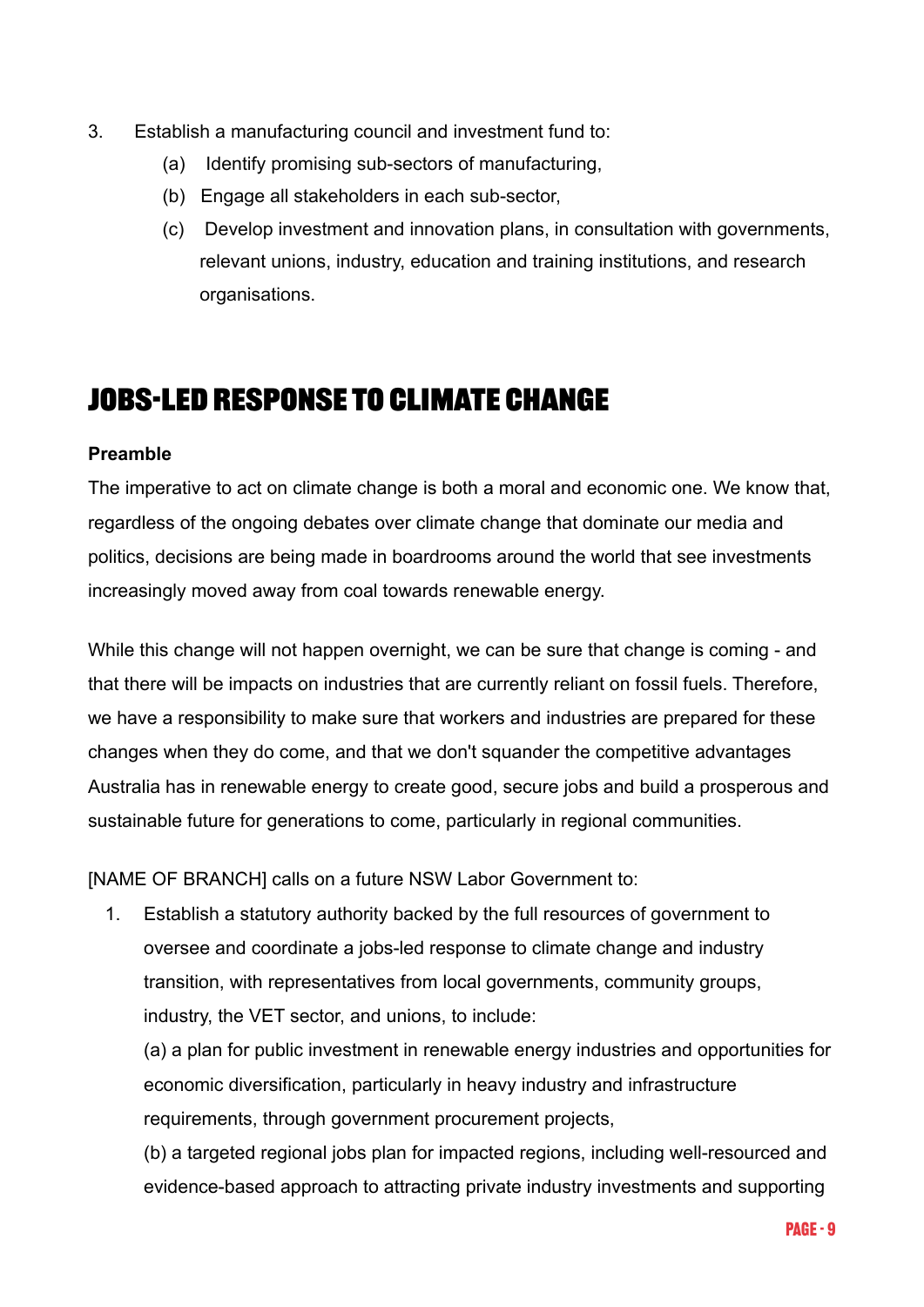- 3. Establish a manufacturing council and investment fund to:
	- (a) Identify promising sub-sectors of manufacturing,
	- (b) Engage all stakeholders in each sub-sector,
	- (c) Develop investment and innovation plans, in consultation with governments, relevant unions, industry, education and training institutions, and research organisations.

# **Jobs-led response to climate change**

### **Preamble**

The imperative to act on climate change is both a moral and economic one. We know that, regardless of the ongoing debates over climate change that dominate our media and politics, decisions are being made in boardrooms around the world that see investments increasingly moved away from coal towards renewable energy.

While this change will not happen overnight, we can be sure that change is coming - and that there will be impacts on industries that are currently reliant on fossil fuels. Therefore, we have a responsibility to make sure that workers and industries are prepared for these changes when they do come, and that we don't squander the competitive advantages Australia has in renewable energy to create good, secure jobs and build a prosperous and sustainable future for generations to come, particularly in regional communities.

[NAME OF BRANCH] calls on a future NSW Labor Government to:

1. Establish a statutory authority backed by the full resources of government to oversee and coordinate a jobs-led response to climate change and industry transition, with representatives from local governments, community groups, industry, the VET sector, and unions, to include:

(a) a plan for public investment in renewable energy industries and opportunities for economic diversification, particularly in heavy industry and infrastructure requirements, through government procurement projects,

(b) a targeted regional jobs plan for impacted regions, including well-resourced and evidence-based approach to attracting private industry investments and supporting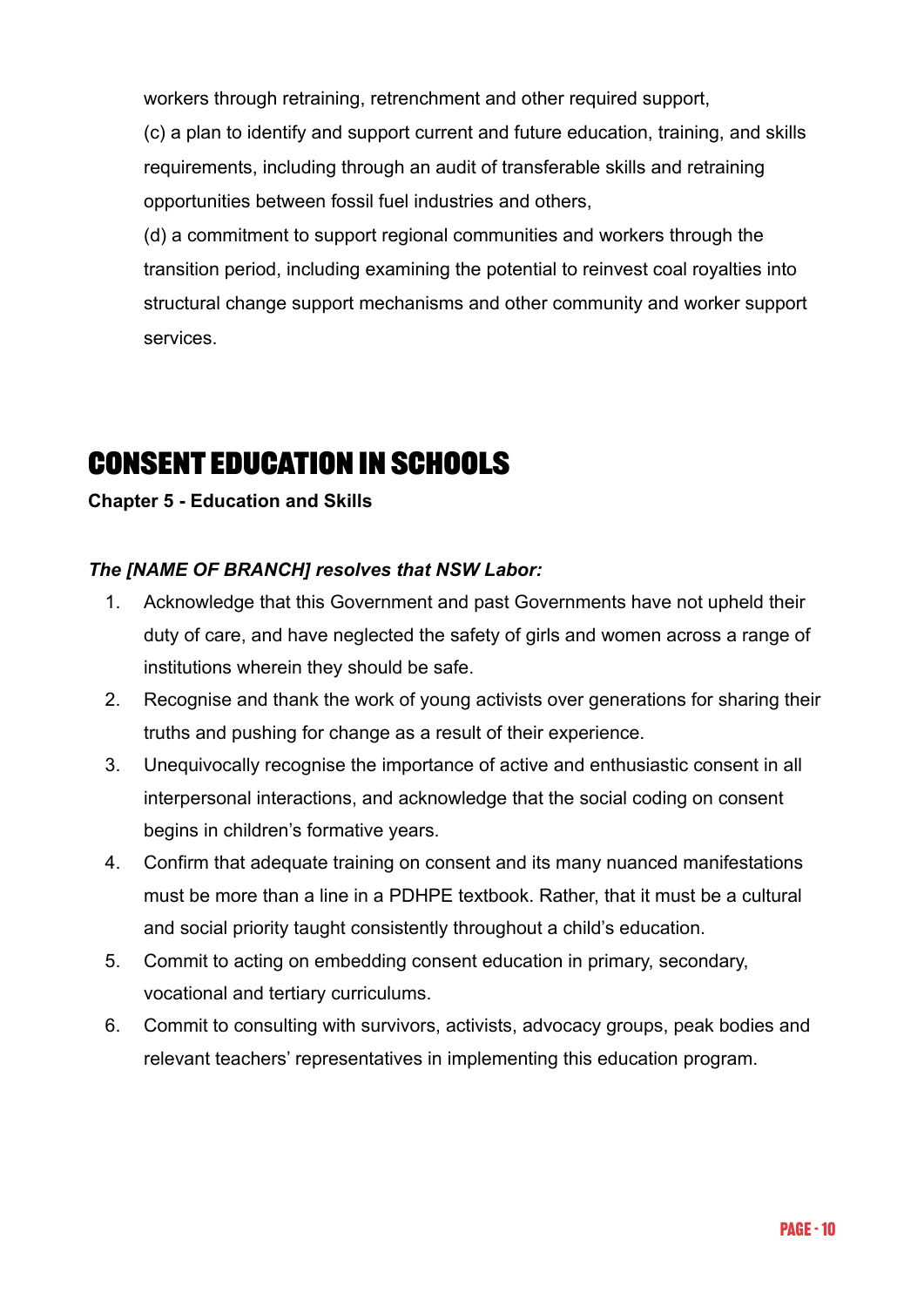workers through retraining, retrenchment and other required support,

(c) a plan to identify and support current and future education, training, and skills requirements, including through an audit of transferable skills and retraining opportunities between fossil fuel industries and others,

(d) a commitment to support regional communities and workers through the transition period, including examining the potential to reinvest coal royalties into structural change support mechanisms and other community and worker support services.

# **Consent Education in Schools**

### **Chapter 5 - Education and Skills**

### *The [NAME OF BRANCH] resolves that NSW Labor:*

- 1. Acknowledge that this Government and past Governments have not upheld their duty of care, and have neglected the safety of girls and women across a range of institutions wherein they should be safe.
- 2. Recognise and thank the work of young activists over generations for sharing their truths and pushing for change as a result of their experience.
- 3. Unequivocally recognise the importance of active and enthusiastic consent in all interpersonal interactions, and acknowledge that the social coding on consent begins in children's formative years.
- 4. Confirm that adequate training on consent and its many nuanced manifestations must be more than a line in a PDHPE textbook. Rather, that it must be a cultural and social priority taught consistently throughout a child's education.
- 5. Commit to acting on embedding consent education in primary, secondary, vocational and tertiary curriculums.
- 6. Commit to consulting with survivors, activists, advocacy groups, peak bodies and relevant teachers' representatives in implementing this education program.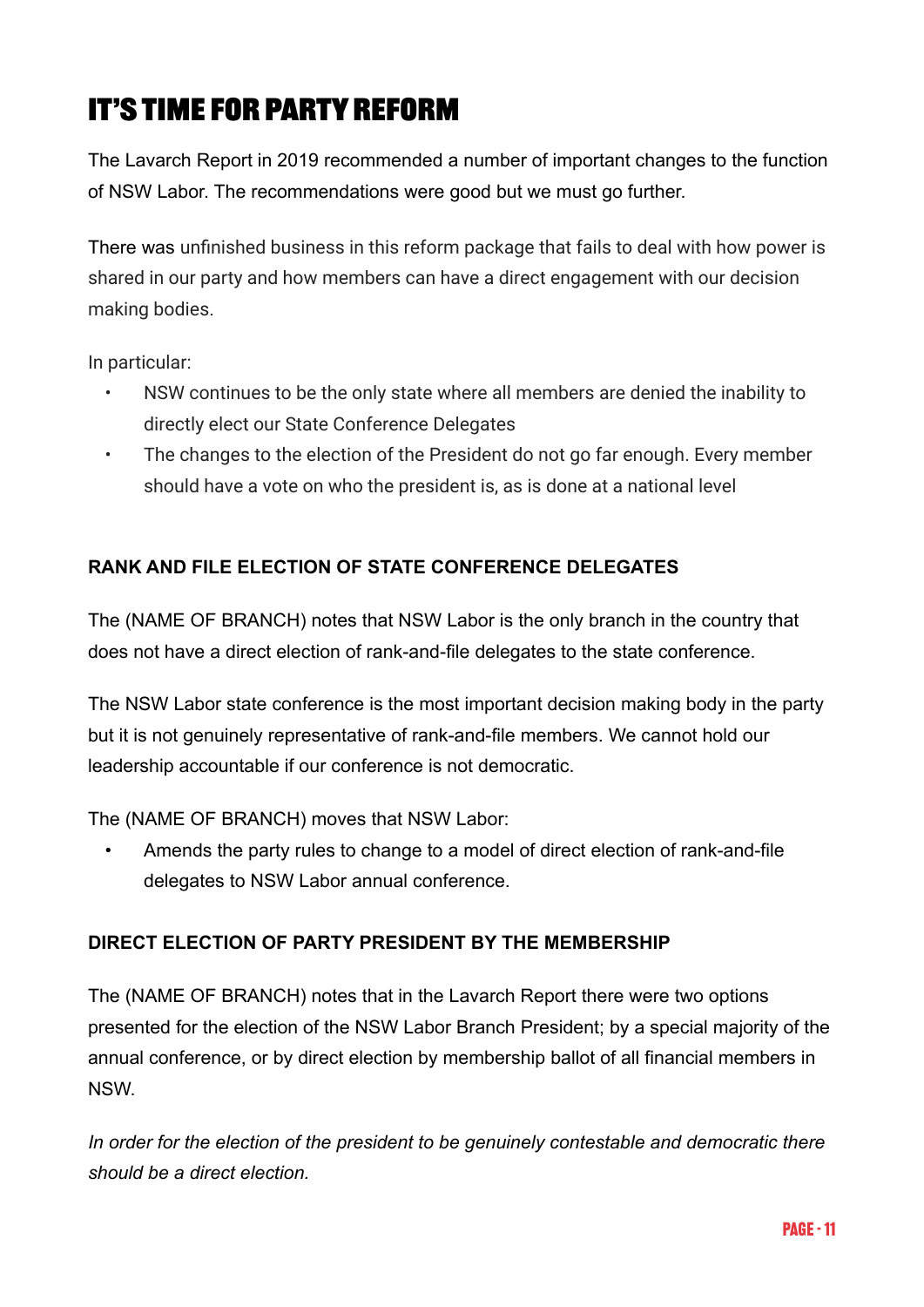# **It's time for PARTY REFORM**

The Lavarch Report in 2019 recommended a number of important changes to the function of NSW Labor. The recommendations were good but we must go further.

There was unfinished business in this reform package that fails to deal with how power is shared in our party and how members can have a direct engagement with our decision making bodies.

In particular:

- NSW continues to be the only state where all members are denied the inability to directly elect our State Conference Delegates
- The changes to the election of the President do not go far enough. Every member should have a vote on who the president is, as is done at a national level

### **RANK AND FILE ELECTION OF STATE CONFERENCE DELEGATES**

The (NAME OF BRANCH) notes that NSW Labor is the only branch in the country that does not have a direct election of rank-and-file delegates to the state conference.

The NSW Labor state conference is the most important decision making body in the party but it is not genuinely representative of rank-and-file members. We cannot hold our leadership accountable if our conference is not democratic.

The (NAME OF BRANCH) moves that NSW Labor:

• Amends the party rules to change to a model of direct election of rank-and-file delegates to NSW Labor annual conference.

### **DIRECT ELECTION OF PARTY PRESIDENT BY THE MEMBERSHIP**

The (NAME OF BRANCH) notes that in the Lavarch Report there were two options presented for the election of the NSW Labor Branch President; by a special majority of the annual conference, or by direct election by membership ballot of all financial members in NSW.

*In order for the election of the president to be genuinely contestable and democratic there should be a direct election.*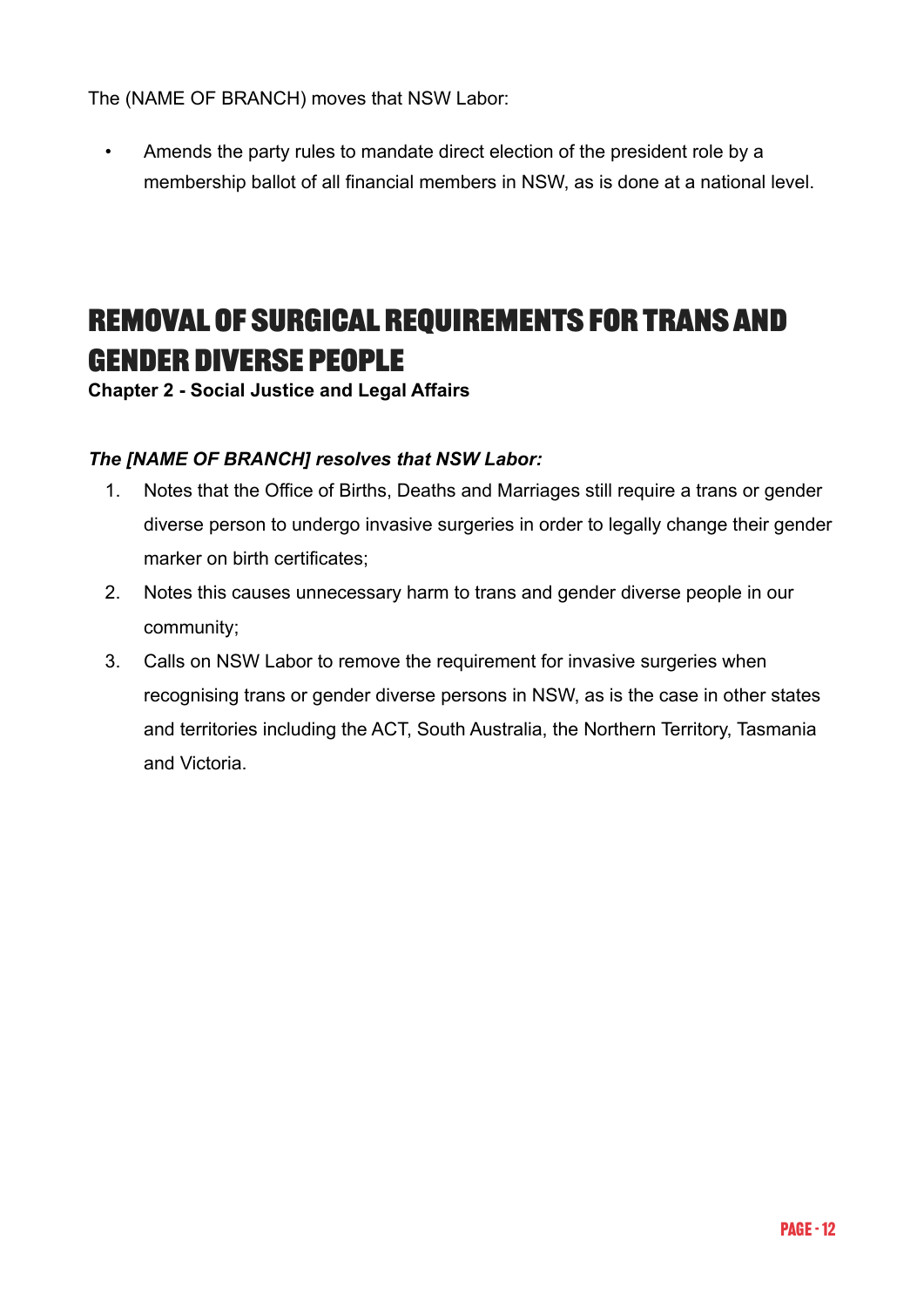The (NAME OF BRANCH) moves that NSW Labor:

• Amends the party rules to mandate direct election of the president role by a membership ballot of all financial members in NSW, as is done at a national level.

# **REMOVAL OF SURGICAL REQUIREMENTS FOR TRANS AND GENDER DIVERSE PEOPLE**

**Chapter 2 - Social Justice and Legal Affairs**

### *The [NAME OF BRANCH] resolves that NSW Labor:*

- 1. Notes that the Office of Births, Deaths and Marriages still require a trans or gender diverse person to undergo invasive surgeries in order to legally change their gender marker on birth certificates;
- 2. Notes this causes unnecessary harm to trans and gender diverse people in our community;
- 3. Calls on NSW Labor to remove the requirement for invasive surgeries when recognising trans or gender diverse persons in NSW, as is the case in other states and territories including the ACT, South Australia, the Northern Territory, Tasmania and Victoria.